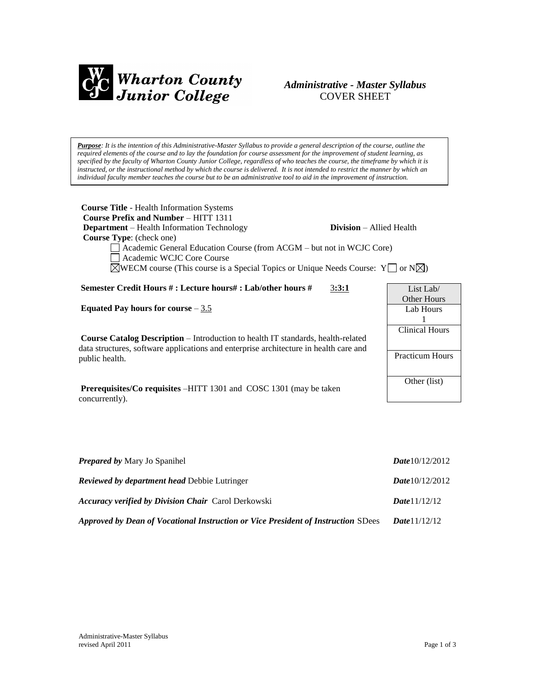

# *Administrative - Master Syllabus*  COVER SHEET

*Purpose: It is the intention of this Administrative-Master Syllabus to provide a general description of the course, outline the required elements of the course and to lay the foundation for course assessment for the improvement of student learning, as specified by the faculty of Wharton County Junior College, regardless of who teaches the course, the timeframe by which it is instructed, or the instructional method by which the course is delivered. It is not intended to restrict the manner by which an individual faculty member teaches the course but to be an administrative tool to aid in the improvement of instruction.*

| <b>Course Title - Health Information Systems</b><br><b>Course Prefix and Number - HITT 1311</b><br><b>Division</b> – Allied Health<br><b>Department</b> – Health Information Technology<br><b>Course Type:</b> (check one)<br>Academic General Education Course (from ACGM – but not in WCJC Core)<br>Academic WCJC Core Course<br>$\boxtimes$ WECM course (This course is a Special Topics or Unique Needs Course: Y $\Box$ or N $\boxtimes$ ) |                                                 |
|-------------------------------------------------------------------------------------------------------------------------------------------------------------------------------------------------------------------------------------------------------------------------------------------------------------------------------------------------------------------------------------------------------------------------------------------------|-------------------------------------------------|
| Semester Credit Hours #: Lecture hours#: Lab/other hours #<br>3:3:1                                                                                                                                                                                                                                                                                                                                                                             | List Lab/                                       |
| Equated Pay hours for course $-3.5$                                                                                                                                                                                                                                                                                                                                                                                                             | <b>Other Hours</b>                              |
|                                                                                                                                                                                                                                                                                                                                                                                                                                                 | Lab Hours<br>1                                  |
| <b>Course Catalog Description</b> – Introduction to health IT standards, health-related<br>data structures, software applications and enterprise architecture in health care and<br>public health.                                                                                                                                                                                                                                              | <b>Clinical Hours</b><br><b>Practicum Hours</b> |
| <b>Prerequisites/Co requisites –HITT 1301 and COSC 1301 (may be taken</b><br>concurrently).                                                                                                                                                                                                                                                                                                                                                     | Other (list)                                    |
|                                                                                                                                                                                                                                                                                                                                                                                                                                                 |                                                 |

| <b>Prepared by Mary Jo Spanihel</b>                                               | Date $10/12/2012$      |
|-----------------------------------------------------------------------------------|------------------------|
| <b>Reviewed by department head Debbie Lutringer</b>                               | Date $10/12/2012$      |
| <b>Accuracy verified by Division Chair Carol Derkowski</b>                        | <b>Date</b> $1/12/12$  |
| Approved by Dean of Vocational Instruction or Vice President of Instruction SDees | <b>Date</b> $11/12/12$ |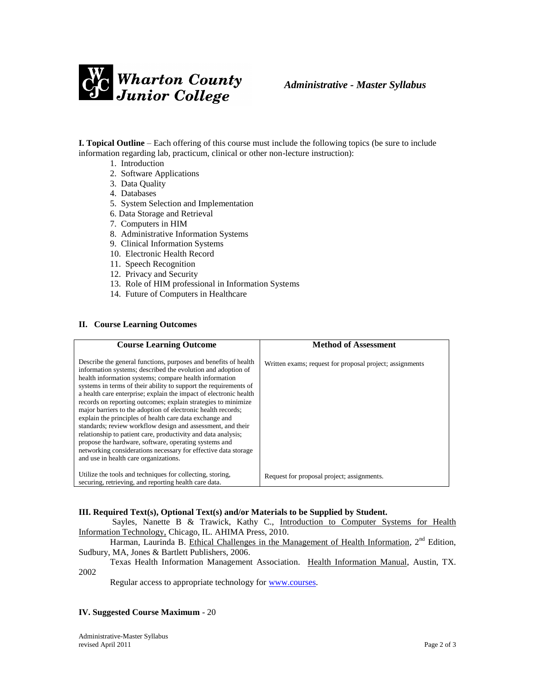

**I. Topical Outline** – Each offering of this course must include the following topics (be sure to include information regarding lab, practicum, clinical or other non-lecture instruction):

- 1. Introduction
- 2. Software Applications
- 3. Data Quality
- 4. Databases
- 5. System Selection and Implementation
- 6. Data Storage and Retrieval
- 7. Computers in HIM
- 8. Administrative Information Systems
- 9. Clinical Information Systems
- 10. Electronic Health Record
- 11. Speech Recognition
- 12. Privacy and Security
- 13. Role of HIM professional in Information Systems
- 14. Future of Computers in Healthcare

## **II. Course Learning Outcomes**

| <b>Course Learning Outcome</b>                                                                                                                                                                                                                                                                                                                                                                                                                                                                                                                                                                                                                                                                                                                                                                                                     | <b>Method of Assessment</b>                              |
|------------------------------------------------------------------------------------------------------------------------------------------------------------------------------------------------------------------------------------------------------------------------------------------------------------------------------------------------------------------------------------------------------------------------------------------------------------------------------------------------------------------------------------------------------------------------------------------------------------------------------------------------------------------------------------------------------------------------------------------------------------------------------------------------------------------------------------|----------------------------------------------------------|
| Describe the general functions, purposes and benefits of health<br>information systems; described the evolution and adoption of<br>health information systems; compare health information<br>systems in terms of their ability to support the requirements of<br>a health care enterprise; explain the impact of electronic health<br>records on reporting outcomes; explain strategies to minimize<br>major barriers to the adoption of electronic health records;<br>explain the principles of health care data exchange and<br>standards; review workflow design and assessment, and their<br>relationship to patient care, productivity and data analysis;<br>propose the hardware, software, operating systems and<br>networking considerations necessary for effective data storage<br>and use in health care organizations. | Written exams; request for proposal project; assignments |
| Utilize the tools and techniques for collecting, storing,<br>securing, retrieving, and reporting health care data.                                                                                                                                                                                                                                                                                                                                                                                                                                                                                                                                                                                                                                                                                                                 | Request for proposal project; assignments.               |

#### **III. Required Text(s), Optional Text(s) and/or Materials to be Supplied by Student.**

Sayles, Nanette B & Trawick, Kathy C., Introduction to Computer Systems for Health Information Technology, Chicago, IL. AHIMA Press, 2010.

Harman, Laurinda B. Ethical Challenges in the Management of Health Information, 2<sup>nd</sup> Edition, Sudbury, MA, Jones & Bartlett Publishers, 2006.

Texas Health Information Management Association. Health Information Manual, Austin, TX. 2002

Regular access to appropriate technology for [www.courses.](http://www.courses/)

# **IV. Suggested Course Maximum** - 20

Administrative-Master Syllabus revised April 2011 Page 2 of 3